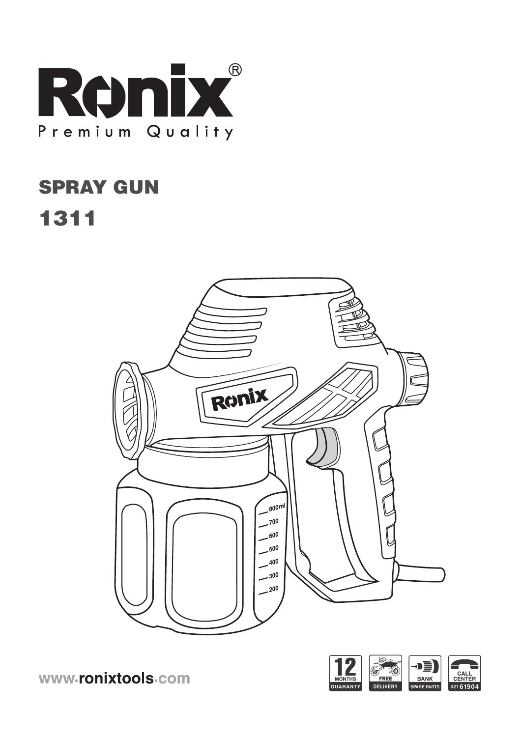

# **SPRAY GUN** 1311



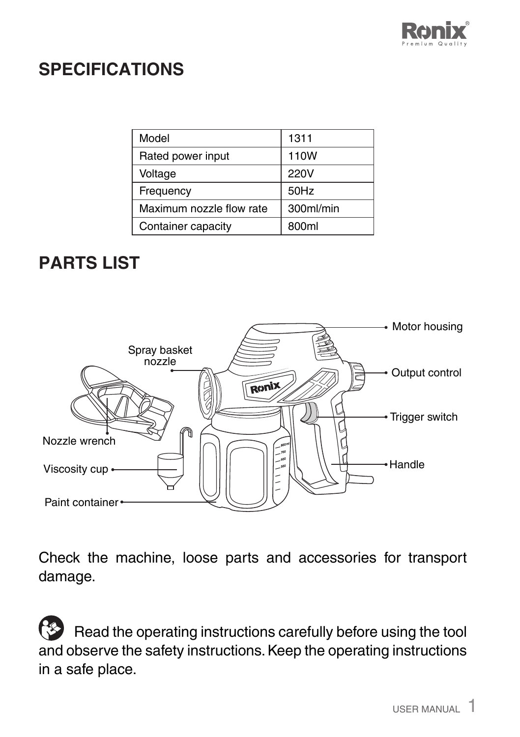

## **SPECIFICATIONS**

| Model                    | 1311      |
|--------------------------|-----------|
| Rated power input        | 110W      |
| Voltage                  | 220V      |
| Frequency                | 50Hz      |
| Maximum nozzle flow rate | 300ml/min |
| Container capacity       | 800ml     |

### **PARTS LIST**



Check the machine, loose parts and accessories for transport damage.

Read the operating instructions carefully before using the tool and observe the safety instructions. Keep the operating instructions in a safe place.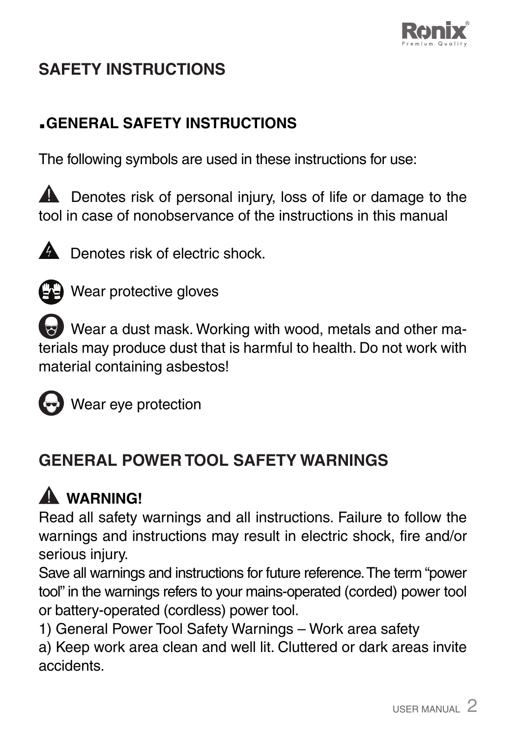

## **SAFETY INSTRUCTIONS**

### **.GENERAL SAFETY INSTRUCTIONS**

The following symbols are used in these instructions for use:

**A** Denotes risk of personal injury, loss of life or damage to the tool in case of nonobservance of the instructions in this manual



 $\triangle$  Denotes risk of electric shock.



 $\mathbb{F}$  Wear protective gloves



Wear a dust mask. Working with wood, metals and other materials may produce dust that is harmful to health. Do not work with material containing asbestos!



Wear eve protection

### **GENERAL POWER TOOL SAFETY WARNINGS**

# **WARNING!**

Read all safety warnings and all instructions. Failure to follow the warnings and instructions may result in electric shock, fire and/or serious injury.

Save all warnings and instructions for future reference. The term "power tool" in the warnings refers to your mains-operated (corded) power tool or battery-operated (cordless) power tool.

1) General Power Tool Safety Warnings – Work area safety

a) Keep work area clean and well lit. Cluttered or dark areas invite accidents.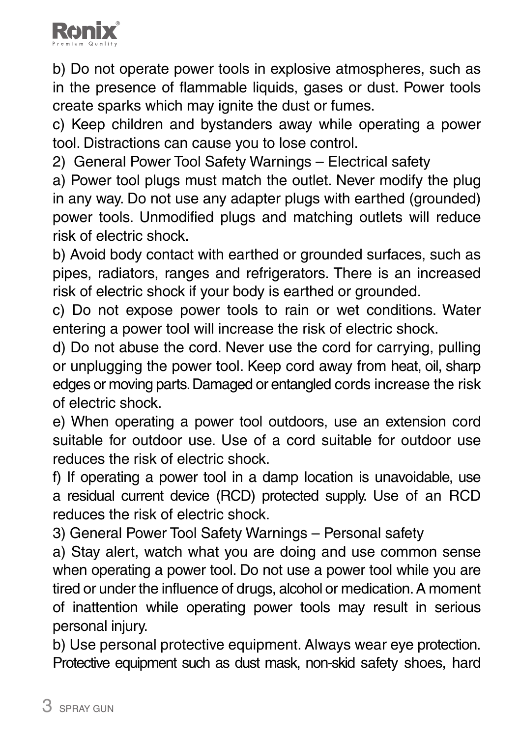

b) Do not operate power tools in explosive atmospheres, such as in the presence of flammable liquids, gases or dust. Power tools create sparks which may ignite the dust or fumes.

c) Keep children and bystanders away while operating a power tool. Distractions can cause you to lose control.

2) General Power Tool Safety Warnings – Electrical safety

a) Power tool plugs must match the outlet. Never modify the plug in any way. Do not use any adapter plugs with earthed (grounded) power tools. Unmodified plugs and matching outlets will reduce risk of electric shock.

b) Avoid body contact with earthed or grounded surfaces, such as pipes, radiators, ranges and refrigerators. There is an increased risk of electric shock if your body is earthed or grounded.

c) Do not expose power tools to rain or wet conditions. Water entering a power tool will increase the risk of electric shock.

d) Do not abuse the cord. Never use the cord for carrying, pulling or unplugging the power tool. Keep cord away from heat, oil, sharp edges or moving parts. Damaged or entangled cords increase the risk of electric shock.

e) When operating a power tool outdoors, use an extension cord suitable for outdoor use. Use of a cord suitable for outdoor use reduces the risk of electric shock.

f) If operating a power tool in a damp location is unavoidable, use a residual current device (RCD) protected supply. Use of an RCD reduces the risk of electric shock.

3) General Power Tool Safety Warnings – Personal safety

a) Stay alert, watch what you are doing and use common sense when operating a power tool. Do not use a power tool while you are tired or under the influence of drugs, alcohol or medication. A moment of inattention while operating power tools may result in serious personal injury.

b) Use personal protective equipment. Always wear eye protection. Protective equipment such as dust mask, non-skid safety shoes, hard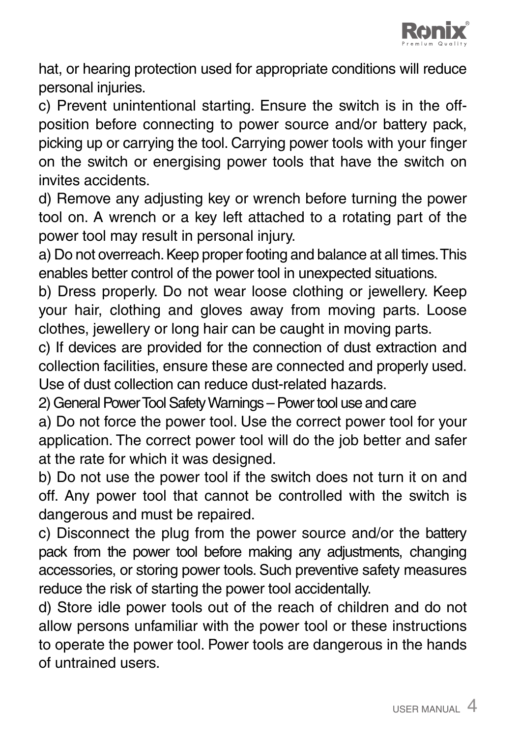

hat, or hearing protection used for appropriate conditions will reduce personal injuries.

c) Prevent unintentional starting. Ensure the switch is in the offposition before connecting to power source and/or battery pack, picking up or carrying the tool. Carrying power tools with your finger on the switch or energising power tools that have the switch on invites accidents.

d) Remove any adjusting key or wrench before turning the power tool on. A wrench or a key left attached to a rotating part of the power tool may result in personal injury.

a) Do not overreach. Keep proper footing and balance at all times. This enables better control of the power tool in unexpected situations.

b) Dress properly. Do not wear loose clothing or jewellery. Keep your hair, clothing and gloves away from moving parts. Loose clothes, jewellery or long hair can be caught in moving parts.

c) If devices are provided for the connection of dust extraction and collection facilities, ensure these are connected and properly used. Use of dust collection can reduce dust-related hazards.

2) General Power Tool Safety Warnings – Power tool use and care

a) Do not force the power tool. Use the correct power tool for your application. The correct power tool will do the job better and safer at the rate for which it was designed.

b) Do not use the power tool if the switch does not turn it on and off. Any power tool that cannot be controlled with the switch is dangerous and must be repaired.

c) Disconnect the plug from the power source and/or the battery pack from the power tool before making any adjustments, changing accessories, or storing power tools. Such preventive safety measures reduce the risk of starting the power tool accidentally.

d) Store idle power tools out of the reach of children and do not allow persons unfamiliar with the power tool or these instructions to operate the power tool. Power tools are dangerous in the hands of untrained users.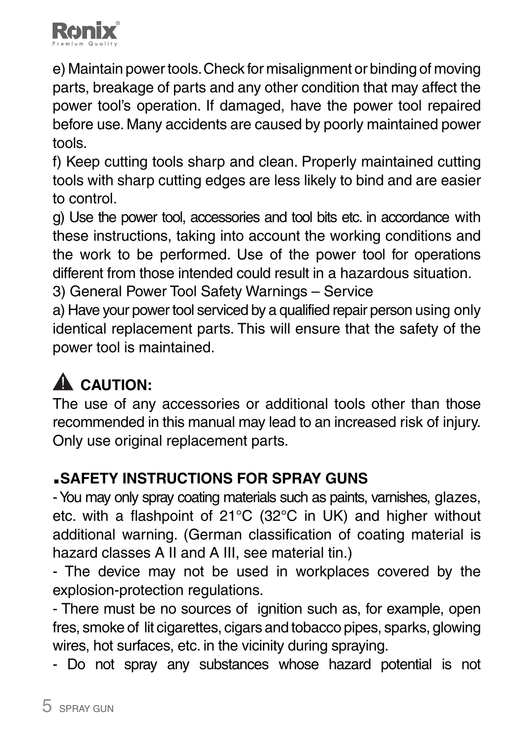

e) Maintain power tools. Check for misalignment or binding of moving parts, breakage of parts and any other condition that may affect the power tool's operation. If damaged, have the power tool repaired before use. Many accidents are caused by poorly maintained power tools.

f) Keep cutting tools sharp and clean. Properly maintained cutting tools with sharp cutting edges are less likely to bind and are easier to control.

g) Use the power tool, accessories and tool bits etc. in accordance with these instructions, taking into account the working conditions and the work to be performed. Use of the power tool for operations different from those intended could result in a hazardous situation.

3) General Power Tool Safety Warnings – Service

a) Have your power tool serviced by a qualified repair person using only identical replacement parts. This will ensure that the safety of the power tool is maintained.

## **A** CAUTION

The use of any accessories or additional tools other than those recommended in this manual may lead to an increased risk of injury. Only use original replacement parts.

### **.SAFETY INSTRUCTIONS FOR SPRAY GUNS**

- You may only spray coating materials such as paints, varnishes, glazes, etc. with a flashpoint of 21°C (32°C in UK) and higher without additional warning. (German classification of coating material is hazard classes A II and A III, see material tin.)

- The device may not be used in workplaces covered by the explosion-protection regulations.

- There must be no sources of ignition such as, for example, open fres, smoke of lit cigarettes, cigars and tobacco pipes, sparks, glowing wires, hot surfaces, etc. in the vicinity during spraying.

- Do not spray any substances whose hazard potential is not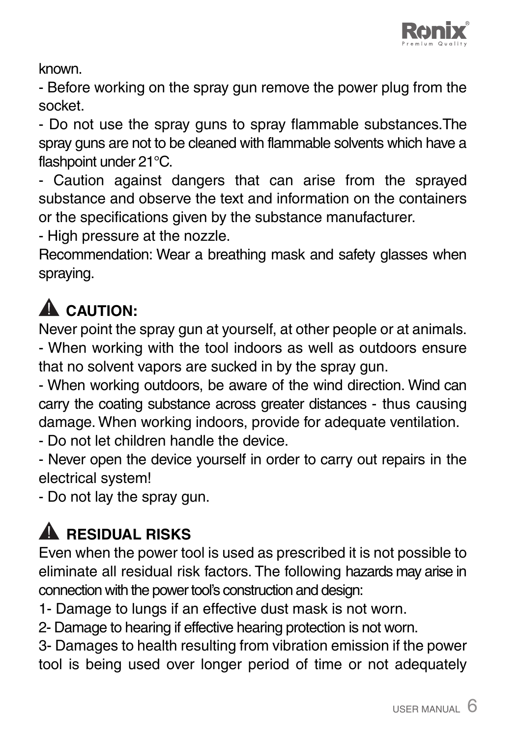

known.

- Before working on the spray gun remove the power plug from the socket.

- Do not use the spray guns to spray flammable substances.The spray guns are not to be cleaned with flammable solvents which have a flashpoint under 21°C.

- Caution against dangers that can arise from the sprayed substance and observe the text and information on the containers or the specifications given by the substance manufacturer.

- High pressure at the nozzle.

Recommendation: Wear a breathing mask and safety glasses when spraying.

# **CAUTION:**

Never point the spray gun at yourself, at other people or at animals.

- When working with the tool indoors as well as outdoors ensure that no solvent vapors are sucked in by the spray gun.

- When working outdoors, be aware of the wind direction. Wind can carry the coating substance across greater distances - thus causing damage. When working indoors, provide for adequate ventilation.

- Do not let children handle the device.

- Never open the device yourself in order to carry out repairs in the electrical system!

- Do not lay the spray gun.

# **A** RESIDUAL RISKS

Even when the power tool is used as prescribed it is not possible to eliminate all residual risk factors. The following hazards may arise in connection with the power tool's construction and design:

1- Damage to lungs if an effective dust mask is not worn.

2- Damage to hearing if effective hearing protection is not worn.

3- Damages to health resulting from vibration emission if the power tool is being used over longer period of time or not adequately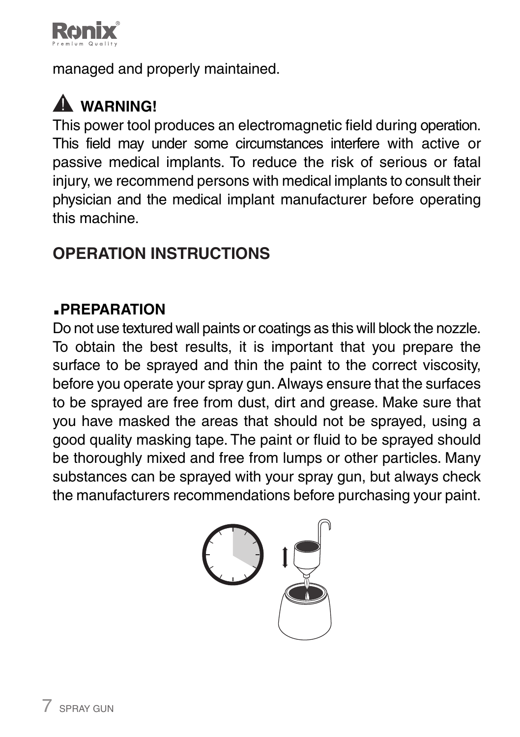

managed and properly maintained.

## **WARNING!**

This power tool produces an electromagnetic field during operation. This field may under some circumstances interfere with active or passive medical implants. To reduce the risk of serious or fatal injury, we recommend persons with medical implants to consult their physician and the medical implant manufacturer before operating this machine.

### **OPERATION INSTRUCTIONS**

#### **.PREPARATION**

Do not use textured wall paints or coatings as this will block the nozzle. To obtain the best results, it is important that you prepare the surface to be sprayed and thin the paint to the correct viscosity, before you operate your spray gun. Always ensure that the surfaces to be sprayed are free from dust, dirt and grease. Make sure that you have masked the areas that should not be sprayed, using a good quality masking tape. The paint or fluid to be sprayed should be thoroughly mixed and free from lumps or other particles. Many substances can be sprayed with your spray gun, but always check the manufacturers recommendations before purchasing your paint.

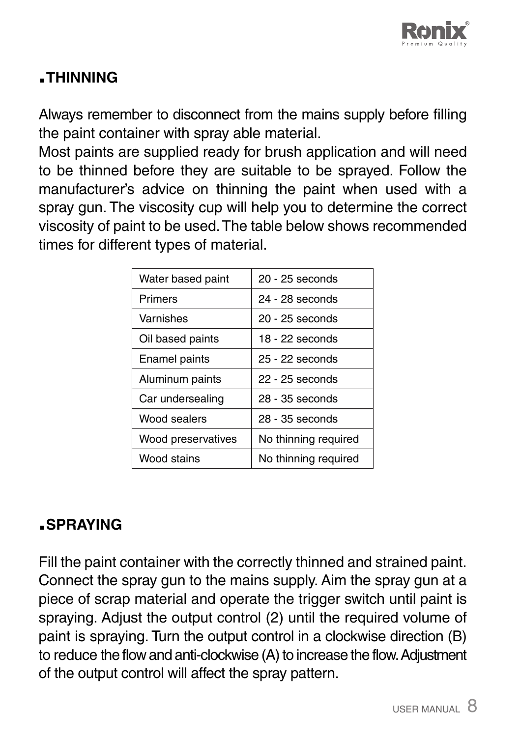

#### **.THINNING**

Always remember to disconnect from the mains supply before filling the paint container with spray able material.

Most paints are supplied ready for brush application and will need to be thinned before they are suitable to be sprayed. Follow the manufacturer's advice on thinning the paint when used with a spray gun. The viscosity cup will help you to determine the correct viscosity of paint to be used. The table below shows recommended times for different types of material.

| Water based paint  | $20 - 25$ seconds    |  |
|--------------------|----------------------|--|
| <b>Primers</b>     | 24 - 28 seconds      |  |
| Varnishes          | 20 - 25 seconds      |  |
| Oil based paints   | $18 - 22$ seconds    |  |
| Enamel paints      | $25 - 22$ seconds    |  |
| Aluminum paints    | 22 - 25 seconds      |  |
| Car undersealing   | $28 - 35$ seconds    |  |
| Wood sealers       | 28 - 35 seconds      |  |
| Wood preservatives | No thinning required |  |
| Wood stains        | No thinning required |  |

#### **.SPRAYING**

Fill the paint container with the correctly thinned and strained paint. Connect the spray gun to the mains supply. Aim the spray gun at a piece of scrap material and operate the trigger switch until paint is spraying. Adjust the output control (2) until the required volume of paint is spraying. Turn the output control in a clockwise direction (B) to reduce the flow and anti-clockwise (A) to increase the flow. Adjustment of the output control will affect the spray pattern.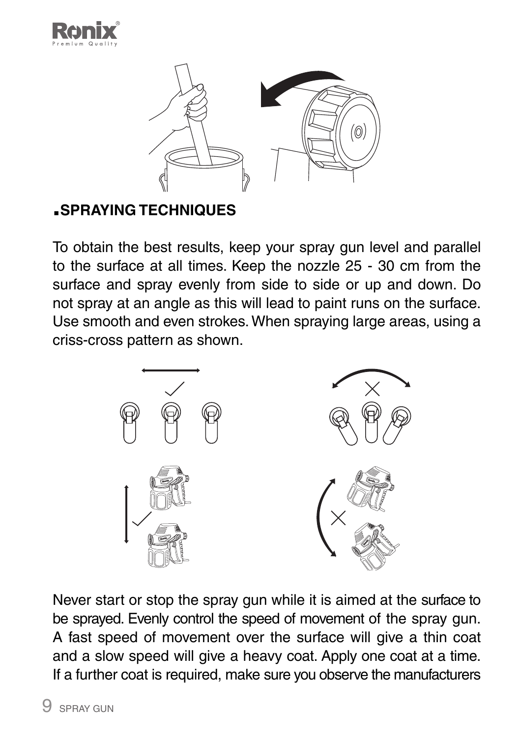



#### **.SPRAYING TECHNIQUES**

To obtain the best results, keep your spray gun level and parallel to the surface at all times. Keep the nozzle 25 - 30 cm from the surface and spray evenly from side to side or up and down. Do not spray at an angle as this will lead to paint runs on the surface. Use smooth and even strokes. When spraying large areas, using a criss-cross pattern as shown.



Never start or stop the spray gun while it is aimed at the surface to be sprayed. Evenly control the speed of movement of the spray gun. A fast speed of movement over the surface will give a thin coat and a slow speed will give a heavy coat. Apply one coat at a time. If a further coat is required, make sure you observe the manufacturers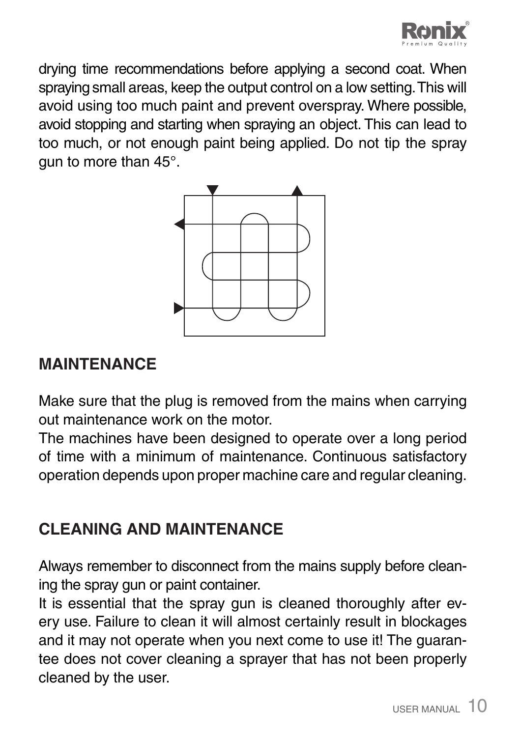

drying time recommendations before applying a second coat. When spraying small areas, keep the output control on a low setting. This will avoid using too much paint and prevent overspray. Where possible, avoid stopping and starting when spraying an object. This can lead to too much, or not enough paint being applied. Do not tip the spray gun to more than 45°.



#### **MAINTENANCE**

Make sure that the plug is removed from the mains when carrying out maintenance work on the motor.

The machines have been designed to operate over a long period of time with a minimum of maintenance. Continuous satisfactory operation depends upon proper machine care and regular cleaning.

### **CLEANING AND MAINTENANCE**

Always remember to disconnect from the mains supply before cleaning the spray gun or paint container.

It is essential that the spray gun is cleaned thoroughly after every use. Failure to clean it will almost certainly result in blockages and it may not operate when you next come to use it! The guarantee does not cover cleaning a sprayer that has not been properly cleaned by the user.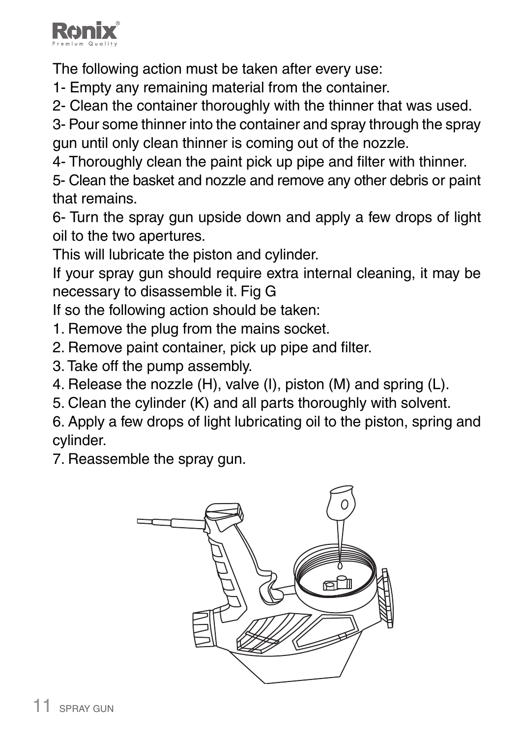

The following action must be taken after every use:

1- Empty any remaining material from the container.

2- Clean the container thoroughly with the thinner that was used.

3- Pour some thinner into the container and spray through the spray gun until only clean thinner is coming out of the nozzle.

4- Thoroughly clean the paint pick up pipe and filter with thinner.

5- Clean the basket and nozzle and remove any other debris or paint that remains.

6- Turn the spray gun upside down and apply a few drops of light oil to the two apertures.

This will lubricate the piston and cylinder.

If your spray gun should require extra internal cleaning, it may be necessary to disassemble it. Fig G

If so the following action should be taken:

1. Remove the plug from the mains socket.

2. Remove paint container, pick up pipe and filter.

3. Take off the pump assembly.

4. Release the nozzle (H), valve (I), piston (M) and spring (L).

5. Clean the cylinder (K) and all parts thoroughly with solvent.

6. Apply a few drops of light lubricating oil to the piston, spring and cylinder.

7. Reassemble the spray gun.

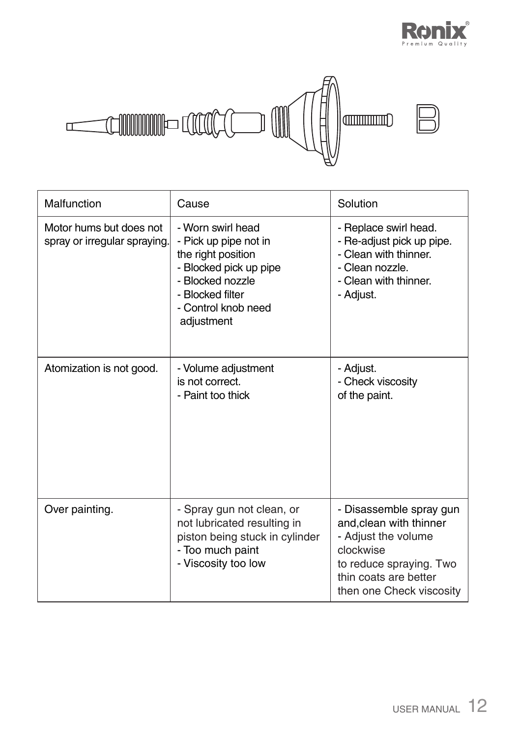



| Malfunction                                             | Cause                                                                                                                                                                   | Solution                                                                                                                                                               |
|---------------------------------------------------------|-------------------------------------------------------------------------------------------------------------------------------------------------------------------------|------------------------------------------------------------------------------------------------------------------------------------------------------------------------|
| Motor hums but does not<br>spray or irregular spraying. | - Worn swirl head<br>- Pick up pipe not in<br>the right position<br>- Blocked pick up pipe<br>- Blocked nozzle<br>- Blocked filter<br>- Control knob need<br>adjustment | - Replace swirl head.<br>- Re-adjust pick up pipe.<br>- Clean with thinner.<br>- Clean nozzle.<br>- Clean with thinner.<br>- Adjust.                                   |
| Atomization is not good.                                | - Volume adjustment<br>is not correct.<br>- Paint too thick                                                                                                             | - Adjust.<br>- Check viscosity<br>of the paint.                                                                                                                        |
| Over painting.                                          | - Spray gun not clean, or<br>not lubricated resulting in<br>piston being stuck in cylinder<br>- Too much paint<br>- Viscosity too low                                   | - Disassemble spray gun<br>and, clean with thinner<br>- Adjust the volume<br>clockwise<br>to reduce spraying. Two<br>thin coats are better<br>then one Check viscosity |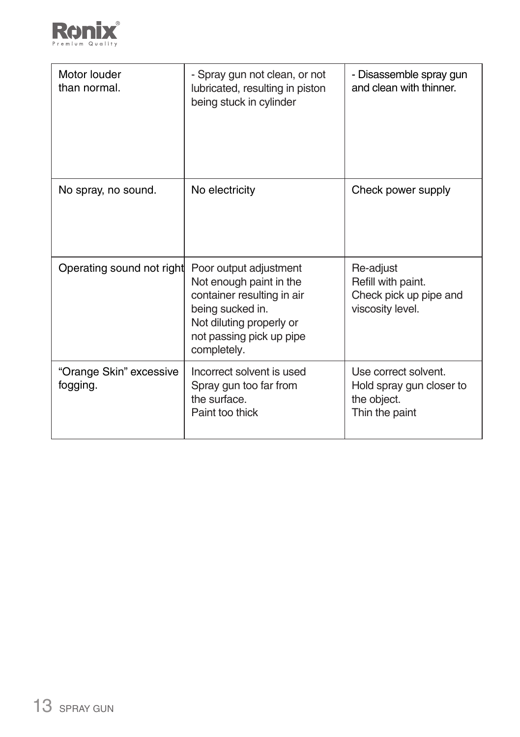

| Motor louder<br>than normal.        | - Spray gun not clean, or not<br>lubricated, resulting in piston<br>being stuck in cylinder                                                                                | - Disassemble spray gun<br>and clean with thinner.                                |
|-------------------------------------|----------------------------------------------------------------------------------------------------------------------------------------------------------------------------|-----------------------------------------------------------------------------------|
| No spray, no sound.                 | No electricity                                                                                                                                                             | Check power supply                                                                |
| Operating sound not right           | Poor output adjustment<br>Not enough paint in the<br>container resulting in air<br>being sucked in.<br>Not diluting properly or<br>not passing pick up pipe<br>completely. | Re-adjust<br>Refill with paint.<br>Check pick up pipe and<br>viscosity level.     |
| "Orange Skin" excessive<br>fogging. | Incorrect solvent is used<br>Spray gun too far from<br>the surface.<br>Paint too thick                                                                                     | Use correct solvent.<br>Hold spray gun closer to<br>the object.<br>Thin the paint |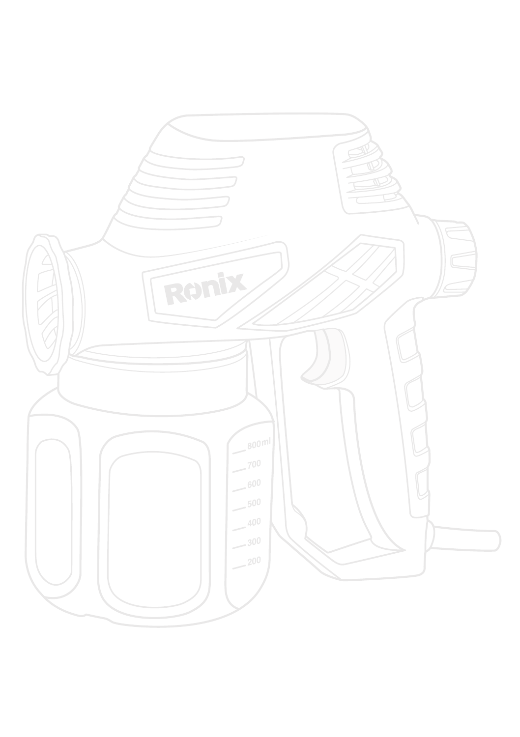